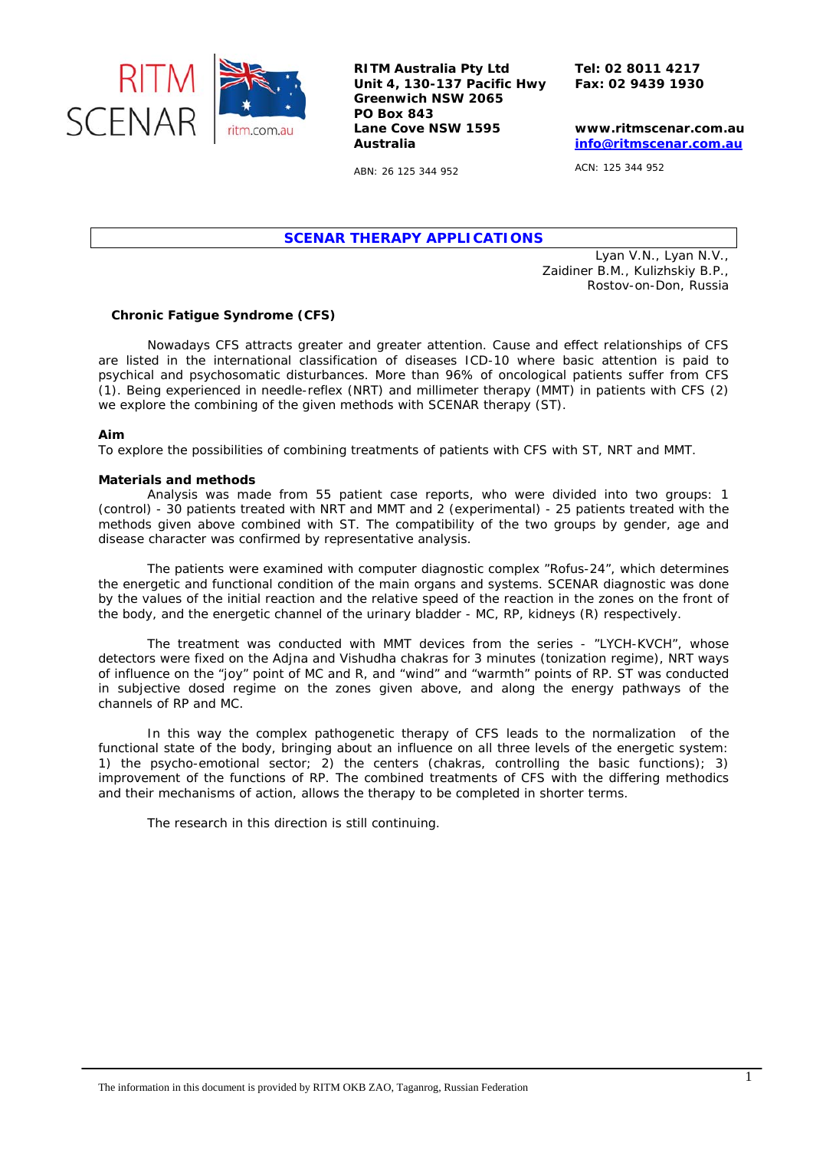

**RITM Australia Pty Ltd Unit 4, 130-137 Pacific Hwy Greenwich NSW 2065 PO Box 843 Lane Cove NSW 1595 Australia** 

**Tel: 02 8011 4217 Fax: 02 9439 1930** 

**www.ritmscenar.com.au [info@ritmscenar.com.au](mailto:info@ritmscenar.com.au)**

ABN: 26 125 344 952

ACN: 125 344 952

*SCENAR THERAPY APPLICATIONS* 

*Lyan V.N., Lyan N.V., Zaidiner B.M., Kulizhskiy B.P., Rostov-on-Don, Russia* 

## **Chronic Fatigue Syndrome (CFS)**

Nowadays CFS attracts greater and greater attention. Cause and effect relationships of CFS are listed in the international classification of diseases ICD-10 where basic attention is paid to psychical and psychosomatic disturbances. More than 96% of oncological patients suffer from CFS (1). Being experienced in needle-reflex (NRT) and millimeter therapy (MMT) in patients with CFS (2) we explore the combining of the given methods with SCENAR therapy (ST).

## **Aim**

To explore the possibilities of combining treatments of patients with CFS with ST, NRT and MMT.

## **Materials and methods**

Analysis was made from 55 patient case reports, who were divided into two groups: 1 (control) - 30 patients treated with NRT and MMT and 2 (experimental) - 25 patients treated with the methods given above combined with ST. The compatibility of the two groups by gender, age and disease character was confirmed by representative analysis.

The patients were examined with computer diagnostic complex "Rofus-24", which determines the energetic and functional condition of the main organs and systems. SCENAR diagnostic was done by the values of the initial reaction and the relative speed of the reaction in the zones on the front of the body, and the energetic channel of the urinary bladder - MC, RP, kidneys (R) respectively.

The treatment was conducted with MMT devices from the series - "LYCH-KVCH", whose detectors were fixed on the Adjna and Vishudha chakras for 3 minutes (tonization regime), NRT ways of influence on the "joy" point of MC and R, and "wind" and "warmth" points of RP. ST was conducted in subjective dosed regime on the zones given above, and along the energy pathways of the channels of RP and MC.

In this way the complex pathogenetic therapy of CFS leads to the normalization of the functional state of the body, bringing about an influence on all three levels of the energetic system: 1) the psycho-emotional sector; 2) the centers (chakras, controlling the basic functions); 3) improvement of the functions of RP. The combined treatments of CFS with the differing methodics and their mechanisms of action, allows the therapy to be completed in shorter terms.

The research in this direction is still continuing.